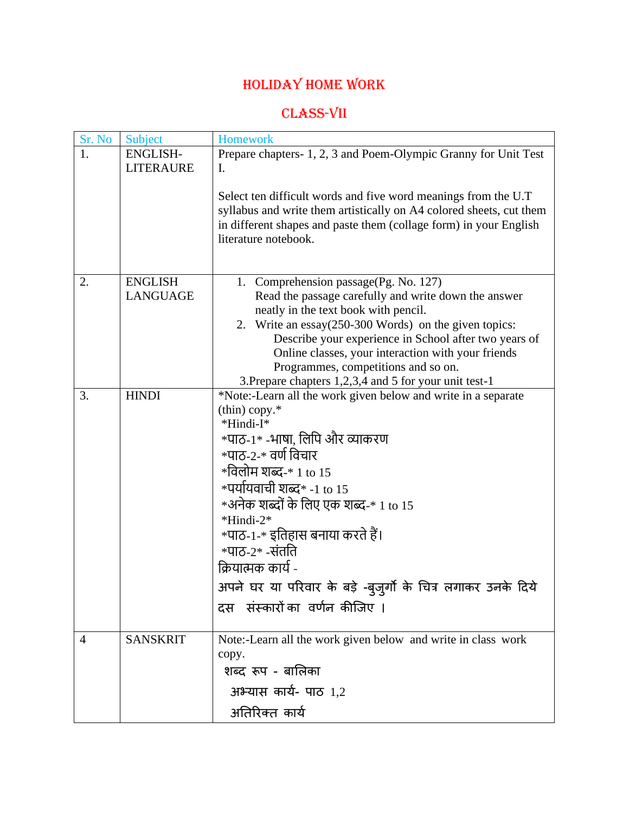# Holiday Home work

## CLASS-VII

| Sr. No | Subject          | <b>Homework</b>                                                                                                                                                                                                                    |
|--------|------------------|------------------------------------------------------------------------------------------------------------------------------------------------------------------------------------------------------------------------------------|
| 1.     | <b>ENGLISH-</b>  | Prepare chapters-1, 2, 3 and Poem-Olympic Granny for Unit Test                                                                                                                                                                     |
|        | <b>LITERAURE</b> | I.                                                                                                                                                                                                                                 |
|        |                  | Select ten difficult words and five word meanings from the U.T<br>syllabus and write them artistically on A4 colored sheets, cut them<br>in different shapes and paste them (collage form) in your English<br>literature notebook. |
|        |                  |                                                                                                                                                                                                                                    |
| 2.     | <b>ENGLISH</b>   | 1. Comprehension passage (Pg. No. 127)                                                                                                                                                                                             |
|        | <b>LANGUAGE</b>  | Read the passage carefully and write down the answer                                                                                                                                                                               |
|        |                  | neatly in the text book with pencil.                                                                                                                                                                                               |
|        |                  | 2. Write an essay(250-300 Words) on the given topics:                                                                                                                                                                              |
|        |                  | Describe your experience in School after two years of                                                                                                                                                                              |
|        |                  | Online classes, your interaction with your friends                                                                                                                                                                                 |
|        |                  | Programmes, competitions and so on.                                                                                                                                                                                                |
|        |                  | 3. Prepare chapters 1,2,3,4 and 5 for your unit test-1                                                                                                                                                                             |
| 3.     | <b>HINDI</b>     | *Note:-Learn all the work given below and write in a separate                                                                                                                                                                      |
|        |                  | $(thin)$ copy. $*$                                                                                                                                                                                                                 |
|        |                  | *Hindi-I*                                                                                                                                                                                                                          |
|        |                  | *पाठ-1* -भाषा, लिपि और व्याकरण                                                                                                                                                                                                     |
|        |                  | *पाठ-2-* वर्ण विचार                                                                                                                                                                                                                |
|        |                  | *विलोम शब्द-* 1 to 15                                                                                                                                                                                                              |
|        |                  | $*$ पर्यायवाची शब्द $*$ -1 to 15                                                                                                                                                                                                   |
|        |                  | *अनेक शब्दों के लिए एक शब्द-* 1 to 15                                                                                                                                                                                              |
|        |                  |                                                                                                                                                                                                                                    |
|        |                  | *Hindi-2*<br>*पाठ-1-* इतिहास बनाया करते हैं।                                                                                                                                                                                       |
|        |                  |                                                                                                                                                                                                                                    |
|        |                  | $*$ पाठ-2 $*$ -संतति                                                                                                                                                                                                               |
|        |                  | क्रियात्मक कार्य -                                                                                                                                                                                                                 |
|        |                  | अपने घर या परिवार के बड़े -बुजुर्गो के चित्र लगाकर उनके दिये                                                                                                                                                                       |
|        |                  | दस संस्कारों का वर्णन कीजिए ।                                                                                                                                                                                                      |
| 4      | <b>SANSKRIT</b>  | Note:-Learn all the work given below and write in class work                                                                                                                                                                       |
|        |                  | copy.                                                                                                                                                                                                                              |
|        |                  | शब्द रूप - बालिका                                                                                                                                                                                                                  |
|        |                  | अभ्यास कार्य- पाठ $1,2$                                                                                                                                                                                                            |
|        |                  | अतिरिक्त कार्य                                                                                                                                                                                                                     |
|        |                  |                                                                                                                                                                                                                                    |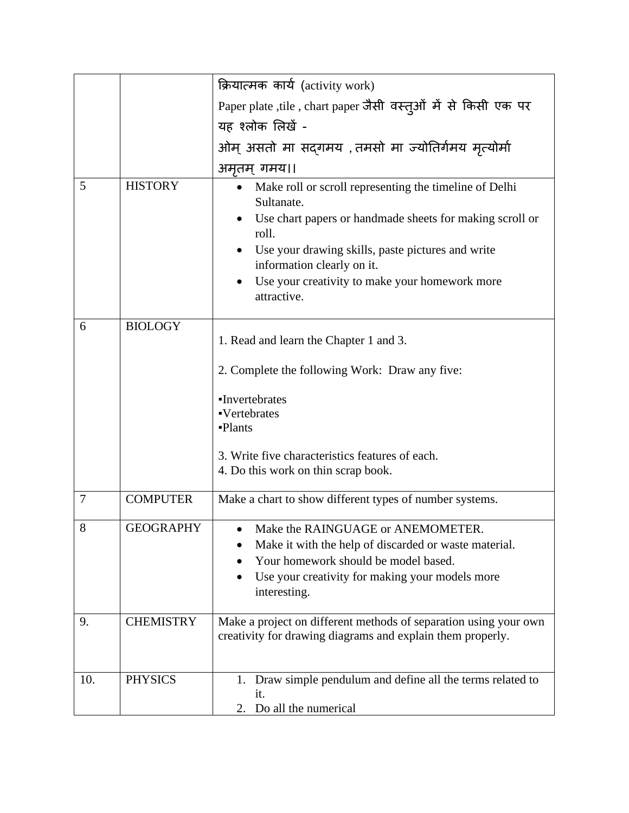|     |                  | क्रियात्मक कार्य (activity work)                                                                                                                                                                                                                                                              |  |
|-----|------------------|-----------------------------------------------------------------------------------------------------------------------------------------------------------------------------------------------------------------------------------------------------------------------------------------------|--|
|     |                  | Paper plate ,tile, chart paper जैसी वस्तूओं में से किसी एक पर                                                                                                                                                                                                                                 |  |
|     |                  | यह श्लोक लिखें -                                                                                                                                                                                                                                                                              |  |
|     |                  | ओम् असतो मा सद्गमय ,तमसो मा ज्योतिर्गमय मृत्योर्मा                                                                                                                                                                                                                                            |  |
|     |                  | अमृतम् गमय।।                                                                                                                                                                                                                                                                                  |  |
| 5   | <b>HISTORY</b>   | Make roll or scroll representing the timeline of Delhi<br>Sultanate.<br>Use chart papers or handmade sheets for making scroll or<br>roll.<br>Use your drawing skills, paste pictures and write<br>information clearly on it.<br>Use your creativity to make your homework more<br>attractive. |  |
|     |                  |                                                                                                                                                                                                                                                                                               |  |
| 6   | <b>BIOLOGY</b>   | 1. Read and learn the Chapter 1 and 3.<br>2. Complete the following Work: Draw any five:                                                                                                                                                                                                      |  |
|     |                  |                                                                                                                                                                                                                                                                                               |  |
|     |                  | •Invertebrates<br>·Vertebrates                                                                                                                                                                                                                                                                |  |
|     |                  | -Plants                                                                                                                                                                                                                                                                                       |  |
|     |                  | 3. Write five characteristics features of each.<br>4. Do this work on thin scrap book.                                                                                                                                                                                                        |  |
| 7   | <b>COMPUTER</b>  | Make a chart to show different types of number systems.                                                                                                                                                                                                                                       |  |
|     |                  |                                                                                                                                                                                                                                                                                               |  |
| 8   | <b>GEOGRAPHY</b> | Make the RAINGUAGE or ANEMOMETER.<br>Make it with the help of discarded or waste material.<br>Your homework should be model based.<br>Use your creativity for making your models more<br>interesting.                                                                                         |  |
| 9.  | <b>CHEMISTRY</b> | Make a project on different methods of separation using your own<br>creativity for drawing diagrams and explain them properly.                                                                                                                                                                |  |
| 10. | <b>PHYSICS</b>   | 1. Draw simple pendulum and define all the terms related to<br>it.<br>2. Do all the numerical                                                                                                                                                                                                 |  |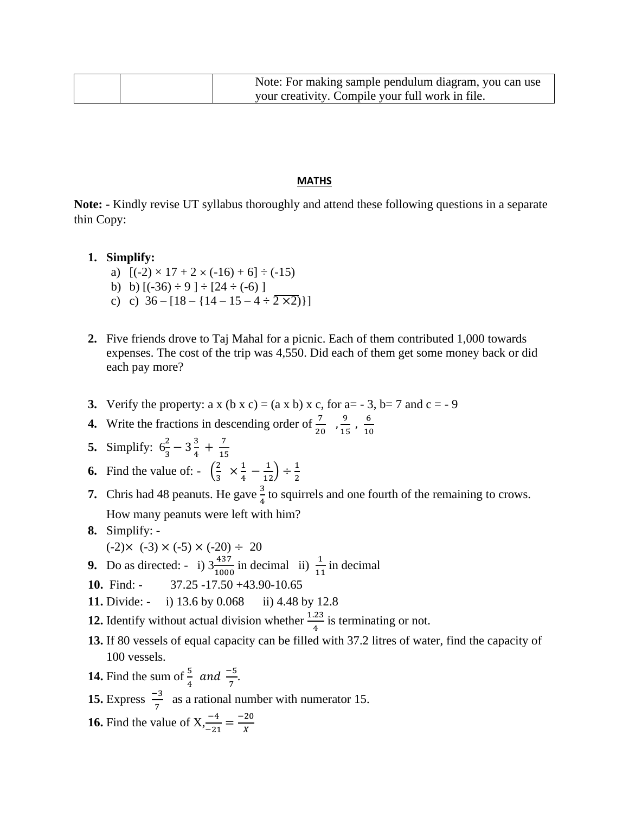| Note: For making sample pendulum diagram, you can use |
|-------------------------------------------------------|
| your creativity. Compile your full work in file.      |

#### **MATHS**

**Note: -** Kindly revise UT syllabus thoroughly and attend these following questions in a separate thin Copy:

### **1. Simplify:**

- a)  $[(-2) \times 17 + 2 \times (-16) + 6] \div (-15)$
- b) b)  $[(-36) \div 9] \div [24 \div (-6)]$
- c) c)  $36 [18 {14 15 4 \div 2 \times 2}]$
- **2.** Five friends drove to Taj Mahal for a picnic. Each of them contributed 1,000 towards expenses. The cost of the trip was 4,550. Did each of them get some money back or did each pay more?
- **3.** Verify the property: a x  $(b \times c) = (a \times b) \times c$ , for a = 3, b = 7 and c = 9
- **4.** Write the fractions in descending order of  $\frac{7}{20}$ ,  $\frac{9}{15}$  $\frac{9}{15}$ ,  $\frac{6}{10}$ 10
- **5.** Simplify:  $6\frac{2}{3} 3\frac{3}{4}$  $\frac{3}{4} + \frac{7}{15}$ 15

#### **6.** Find the value of:  $-\left(\frac{2}{3}\right)$  $rac{2}{3} \times \frac{1}{4}$  $\frac{1}{4} - \frac{1}{12}$   $\div \frac{1}{2}$ 2

- **7.** Chris had 48 peanuts. He gave  $\frac{3}{4}$  to squirrels and one fourth of the remaining to crows. How many peanuts were left with him?
- **8.** Simplify:  $(-2) \times (-3) \times (-5) \times (-20) \div 20$
- **9.** Do as directed: i)  $3\frac{437}{1000}$  in decimal ii)  $\frac{1}{11}$  in decimal
- **10.** Find: 37.25 -17.50 +43.90-10.65
- **11.** Divide: i) 13.6 by 0.068 ii) 4.48 by 12.8
- **12.** Identify without actual division whether  $\frac{1.23}{4}$  is terminating or not.
- **13.** If 80 vessels of equal capacity can be filled with 37.2 litres of water, find the capacity of 100 vessels.
- **14.** Find the sum of  $\frac{5}{4}$  and  $\frac{-5}{7}$ .
- **15.** Express  $\frac{-3}{7}$  as a rational number with numerator 15.
- **16.** Find the value of  $X = \frac{-4}{-21} = \frac{-20}{X}$ X